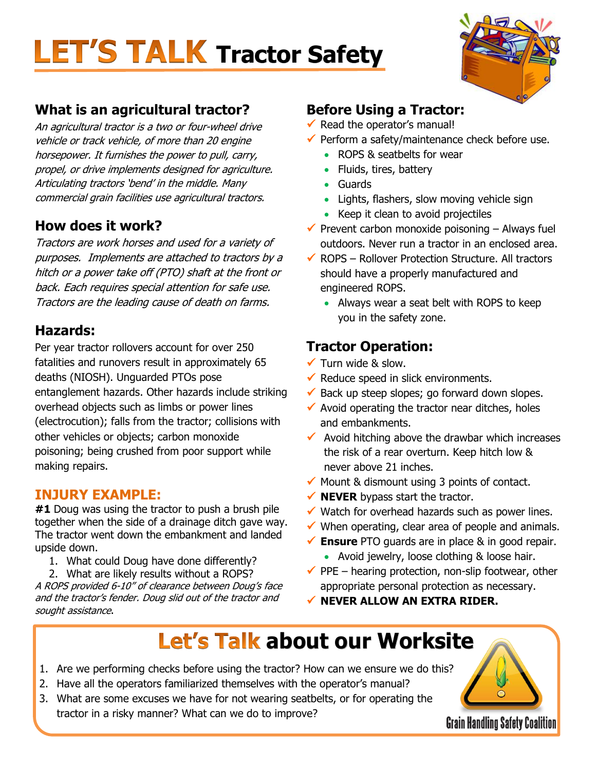## **LET'S TALK Tractor Safety**



### **What is an agricultural tractor?**

An agricultural tractor is a two or four-wheel drive vehicle or track vehicle, of more than 20 engine horsepower. It furnishes the power to pull, carry, propel, or drive implements designed for agriculture. Articulating tractors 'bend' in the middle. Many commercial grain facilities use agricultural tractors.

### **How does it work?**

Tractors are work horses and used for a variety of purposes. Implements are attached to tractors by a hitch or a power take off (PTO) shaft at the front or back. Each requires special attention for safe use. Tractors are the leading cause of death on farms.

### **Hazards:**

Per year tractor rollovers account for over 250 fatalities and runovers result in approximately 65 deaths (NIOSH). Unguarded PTOs pose entanglement hazards. Other hazards include striking overhead objects such as limbs or power lines (electrocution); falls from the tractor; collisions with other vehicles or objects; carbon monoxide poisoning; being crushed from poor support while making repairs.

### **INJURY EXAMPLE:**

**#1** Doug was using the tractor to push a brush pile together when the side of a drainage ditch gave way. The tractor went down the embankment and landed upside down.

- 1. What could Doug have done differently?
- 2. What are likely results without a ROPS?

A ROPS provided 6-10" of clearance between Doug's face and the tractor's fender. Doug slid out of the tractor and sought assistance.

### **Before Using a Tractor:**

- $\checkmark$  Read the operator's manual!
- $\checkmark$  Perform a safety/maintenance check before use.
	- ROPS & seatbelts for wear
	- Fluids, tires, battery
	- Guards
	- Lights, flashers, slow moving vehicle sign
	- Keep it clean to avoid projectiles
- $\checkmark$  Prevent carbon monoxide poisoning Always fuel outdoors. Never run a tractor in an enclosed area.
- $\checkmark$  ROPS Rollover Protection Structure. All tractors should have a properly manufactured and engineered ROPS.
	- Always wear a seat belt with ROPS to keep you in the safety zone.

### **Tractor Operation:**

- $\checkmark$  Turn wide & slow.
- $\checkmark$  Reduce speed in slick environments.
- $\checkmark$  Back up steep slopes; go forward down slopes.
- $\checkmark$  Avoid operating the tractor near ditches, holes and embankments.
- $\checkmark$  Avoid hitching above the drawbar which increases the risk of a rear overturn. Keep hitch low & never above 21 inches.
- $\checkmark$  Mount & dismount using 3 points of contact.
- ◆ **NEVER** bypass start the tractor.
- $\checkmark$  Watch for overhead hazards such as power lines.
- $\checkmark$  When operating, clear area of people and animals.
- **Ensure** PTO guards are in place & in good repair.
	- Avoid jewelry, loose clothing & loose hair.
- $\checkmark$  PPE hearing protection, non-slip footwear, other appropriate personal protection as necessary.
- **NEVER ALLOW AN EXTRA RIDER.**

### **Let's Talk about our Worksite**

- 1. Are we performing checks before using the tractor? How can we ensure we do this?
- 2. Have all the operators familiarized themselves with the operator's manual?
- 3. What are some excuses we have for not wearing seatbelts, or for operating the tractor in a risky manner? What can we do to improve?

**Grain Handling Safety Coalition**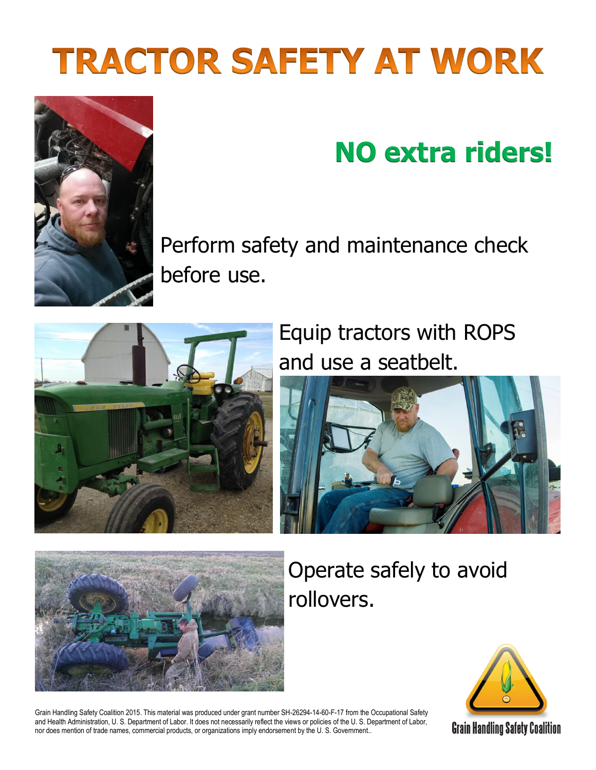# **TRACTOR SAFETY AT WORK**



## **NO extra riders!**

Perform safety and maintenance check before use.



Equip tractors with ROPS and use a seatbelt.





Operate safely to avoid rollovers.



Grain Handling Safety Coalition 2015. This material was produced under grant number SH-26294-14-60-F-17 from the Occupational Safety and Health Administration, U. S. Department of Labor. It does not necessarily reflect the views or policies of the U. S. Department of Labor, nor does mention of trade names, commercial products, or organizations imply endorsement by the U. S. Government..

**Grain Handling Safety Coalition**